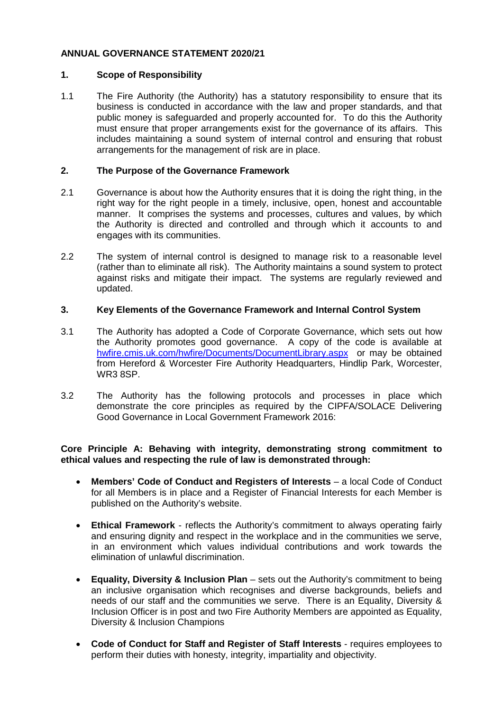# **ANNUAL GOVERNANCE STATEMENT 2020/21**

## **1. Scope of Responsibility**

1.1 The Fire Authority (the Authority) has a statutory responsibility to ensure that its business is conducted in accordance with the law and proper standards, and that public money is safeguarded and properly accounted for. To do this the Authority must ensure that proper arrangements exist for the governance of its affairs. This includes maintaining a sound system of internal control and ensuring that robust arrangements for the management of risk are in place.

# **2. The Purpose of the Governance Framework**

- 2.1 Governance is about how the Authority ensures that it is doing the right thing, in the right way for the right people in a timely, inclusive, open, honest and accountable manner. It comprises the systems and processes, cultures and values, by which the Authority is directed and controlled and through which it accounts to and engages with its communities.
- 2.2 The system of internal control is designed to manage risk to a reasonable level (rather than to eliminate all risk). The Authority maintains a sound system to protect against risks and mitigate their impact. The systems are regularly reviewed and updated.

# **3. Key Elements of the Governance Framework and Internal Control System**

- 3.1 The Authority has adopted a Code of Corporate Governance, which sets out how the Authority promotes good governance. A copy of the code is available at [hwfire.cmis.uk.com/hwfire/Documents/DocumentLibrary.aspx](https://hwfire.cmis.uk.com/hwfire/Documents/DocumentLibrary.aspx) or may be obtained from Hereford & Worcester Fire Authority Headquarters, Hindlip Park, Worcester, WR3 8SP.
- 3.2 The Authority has the following protocols and processes in place which demonstrate the core principles as required by the CIPFA/SOLACE Delivering Good Governance in Local Government Framework 2016:

# **Core Principle A: Behaving with integrity, demonstrating strong commitment to ethical values and respecting the rule of law is demonstrated through:**

- **Members' Code of Conduct and Registers of Interests** a local Code of Conduct for all Members is in place and a Register of Financial Interests for each Member is published on the Authority's website.
- **Ethical Framework**  reflects the Authority's commitment to always operating fairly and ensuring dignity and respect in the workplace and in the communities we serve, in an environment which values individual contributions and work towards the elimination of unlawful discrimination.
- **Equality, Diversity & Inclusion Plan** sets out the Authority's commitment to being an inclusive organisation which recognises and diverse backgrounds, beliefs and needs of our staff and the communities we serve. There is an Equality, Diversity & Inclusion Officer is in post and two Fire Authority Members are appointed as Equality, Diversity & Inclusion Champions
- **Code of Conduct for Staff and Register of Staff Interests** requires employees to perform their duties with honesty, integrity, impartiality and objectivity.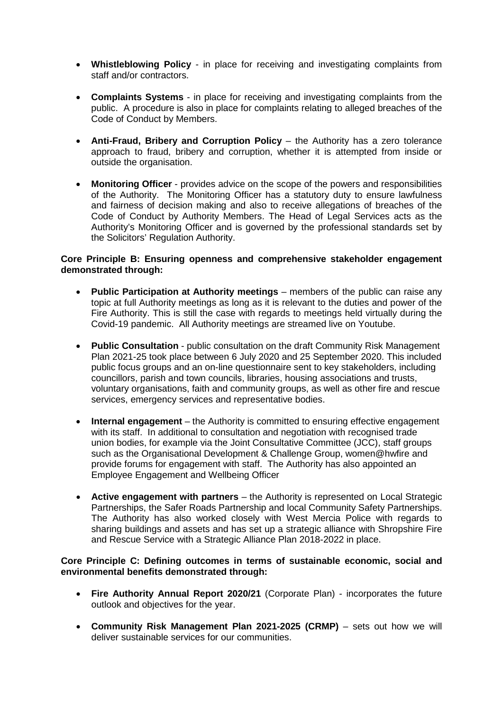- **Whistleblowing Policy** in place for receiving and investigating complaints from staff and/or contractors.
- **Complaints Systems** in place for receiving and investigating complaints from the public. A procedure is also in place for complaints relating to alleged breaches of the Code of Conduct by Members.
- **Anti-Fraud, Bribery and Corruption Policy** the Authority has a zero tolerance approach to fraud, bribery and corruption, whether it is attempted from inside or outside the organisation.
- **Monitoring Officer** provides advice on the scope of the powers and responsibilities of the Authority. The Monitoring Officer has a statutory duty to ensure lawfulness and fairness of decision making and also to receive allegations of breaches of the Code of Conduct by Authority Members. The Head of Legal Services acts as the Authority's Monitoring Officer and is governed by the professional standards set by the Solicitors' Regulation Authority.

## **Core Principle B: Ensuring openness and comprehensive stakeholder engagement demonstrated through:**

- **Public Participation at Authority meetings** members of the public can raise any topic at full Authority meetings as long as it is relevant to the duties and power of the Fire Authority. This is still the case with regards to meetings held virtually during the Covid-19 pandemic. All Authority meetings are streamed live on Youtube.
- **Public Consultation** public consultation on the draft Community Risk Management Plan 2021-25 took place between 6 July 2020 and 25 September 2020. This included public focus groups and an on-line questionnaire sent to key stakeholders, including councillors, parish and town councils, libraries, housing associations and trusts, voluntary organisations, faith and community groups, as well as other fire and rescue services, emergency services and representative bodies.
- **Internal engagement** the Authority is committed to ensuring effective engagement with its staff. In additional to consultation and negotiation with recognised trade union bodies, for example via the Joint Consultative Committee (JCC), staff groups such as the Organisational Development & Challenge Group, women@hwfire and provide forums for engagement with staff. The Authority has also appointed an Employee Engagement and Wellbeing Officer
- **Active engagement with partners** the Authority is represented on Local Strategic Partnerships, the Safer Roads Partnership and local Community Safety Partnerships. The Authority has also worked closely with West Mercia Police with regards to sharing buildings and assets and has set up a strategic alliance with Shropshire Fire and Rescue Service with a Strategic Alliance Plan 2018-2022 in place.

#### **Core Principle C: Defining outcomes in terms of sustainable economic, social and environmental benefits demonstrated through:**

- **Fire Authority Annual Report 2020/21** (Corporate Plan) incorporates the future outlook and objectives for the year.
- **Community Risk Management Plan 2021-2025 (CRMP)** sets out how we will deliver sustainable services for our communities.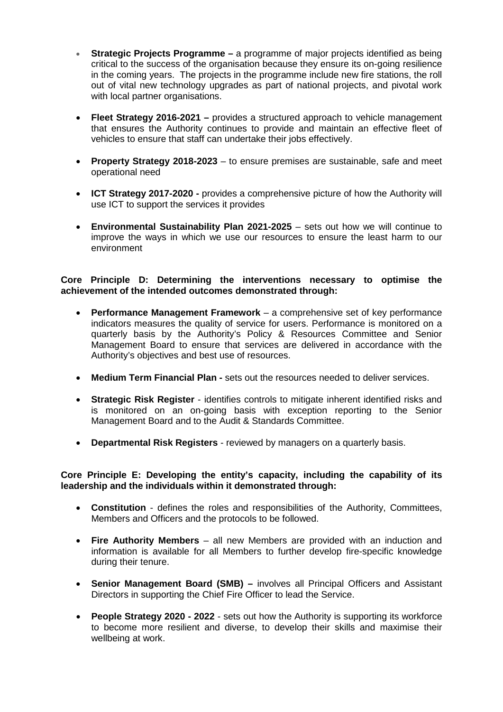- **Strategic Projects Programme –** a programme of major projects identified as being critical to the success of the organisation because they ensure its on-going resilience in the coming years. The projects in the programme include new fire stations, the roll out of vital new technology upgrades as part of national projects, and pivotal work with local partner organisations.
- **Fleet Strategy 2016-2021 –** provides a structured approach to vehicle management that ensures the Authority continues to provide and maintain an effective fleet of vehicles to ensure that staff can undertake their jobs effectively.
- **Property Strategy 2018-2023** to ensure premises are sustainable, safe and meet operational need
- **ICT Strategy 2017-2020 -** provides a comprehensive picture of how the Authority will use ICT to support the services it provides
- **Environmental Sustainability Plan 2021-2025** sets out how we will continue to improve the ways in which we use our resources to ensure the least harm to our environment

**Core Principle D: Determining the interventions necessary to optimise the achievement of the intended outcomes demonstrated through:**

- **Performance Management Framework** a comprehensive set of key performance indicators measures the quality of service for users. Performance is monitored on a quarterly basis by the Authority's Policy & Resources Committee and Senior Management Board to ensure that services are delivered in accordance with the Authority's objectives and best use of resources.
- **Medium Term Financial Plan -** sets out the resources needed to deliver services.
- **Strategic Risk Register** identifies controls to mitigate inherent identified risks and is monitored on an on-going basis with exception reporting to the Senior Management Board and to the Audit & Standards Committee.
- **Departmental Risk Registers** reviewed by managers on a quarterly basis.

#### **Core Principle E: Developing the entity's capacity, including the capability of its leadership and the individuals within it demonstrated through:**

- **Constitution** defines the roles and responsibilities of the Authority, Committees, Members and Officers and the protocols to be followed.
- **Fire Authority Members** all new Members are provided with an induction and information is available for all Members to further develop fire-specific knowledge during their tenure.
- **Senior Management Board (SMB) –** involves all Principal Officers and Assistant Directors in supporting the Chief Fire Officer to lead the Service.
- **People Strategy 2020 - 2022** sets out how the Authority is supporting its workforce to become more resilient and diverse, to develop their skills and maximise their wellbeing at work.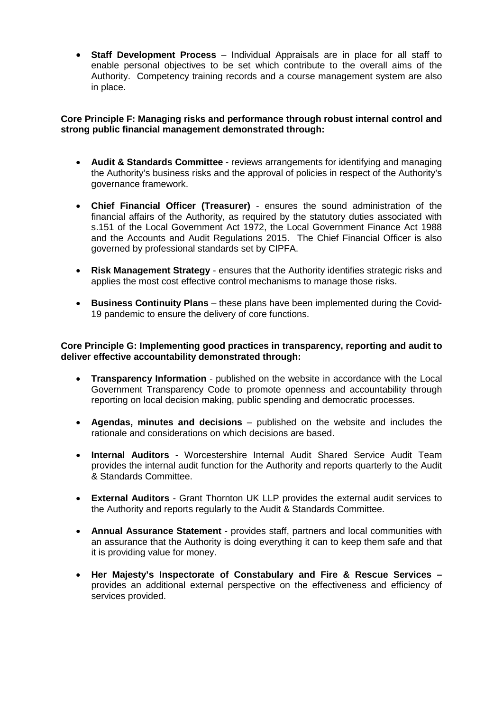• **Staff Development Process** – Individual Appraisals are in place for all staff to enable personal objectives to be set which contribute to the overall aims of the Authority. Competency training records and a course management system are also in place.

# **Core Principle F: Managing risks and performance through robust internal control and strong public financial management demonstrated through:**

- **Audit & Standards Committee** reviews arrangements for identifying and managing the Authority's business risks and the approval of policies in respect of the Authority's governance framework.
- **Chief Financial Officer (Treasurer)** ensures the sound administration of the financial affairs of the Authority, as required by the statutory duties associated with s.151 of the Local Government Act 1972, the Local Government Finance Act 1988 and the Accounts and Audit Regulations 2015. The Chief Financial Officer is also governed by professional standards set by CIPFA.
- **Risk Management Strategy** ensures that the Authority identifies strategic risks and applies the most cost effective control mechanisms to manage those risks.
- **Business Continuity Plans** these plans have been implemented during the Covid-19 pandemic to ensure the delivery of core functions.

## **Core Principle G: Implementing good practices in transparency, reporting and audit to deliver effective accountability demonstrated through:**

- **Transparency Information** published on the website in accordance with the Local Government Transparency Code to promote openness and accountability through reporting on local decision making, public spending and democratic processes.
- **Agendas, minutes and decisions** published on the website and includes the rationale and considerations on which decisions are based.
- **Internal Auditors** Worcestershire Internal Audit Shared Service Audit Team provides the internal audit function for the Authority and reports quarterly to the Audit & Standards Committee.
- **External Auditors**  Grant Thornton UK LLP provides the external audit services to the Authority and reports regularly to the Audit & Standards Committee.
- **Annual Assurance Statement** provides staff, partners and local communities with an assurance that the Authority is doing everything it can to keep them safe and that it is providing value for money.
- **Her Majesty's Inspectorate of Constabulary and Fire & Rescue Services –** provides an additional external perspective on the effectiveness and efficiency of services provided.